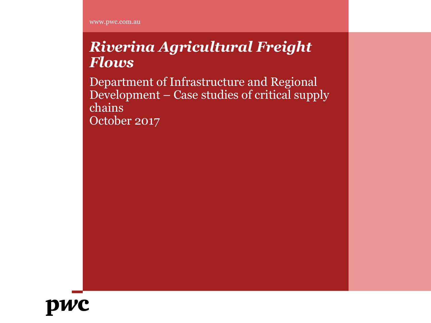www.pwc.com.au

### *Riverina Agricultural Freight Flows*

Department of Infrastructure and Regional Development – Case studies of critical supply chains October 2017

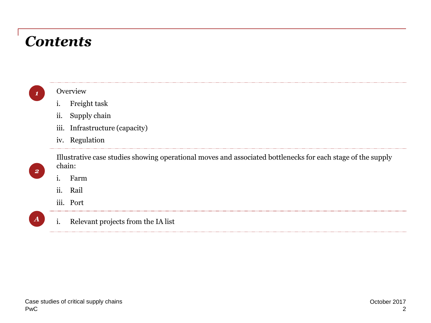### *Contents*

| $\mathcal{L}(\mathcal{L})$ and $\mathcal{L}(\mathcal{L})$ and $\mathcal{L}(\mathcal{L})$ |  |
|------------------------------------------------------------------------------------------|--|

*2*

*A*

### **Overview**

- i. Freight task
- ii. Supply chain
- iii. Infrastructure (capacity)
- iv. Regulation

Illustrative case studies showing operational moves and associated bottlenecks for each stage of the supply chain:

- i. Farm
- ii. Rail
- iii. Port
- i. Relevant projects from the IA list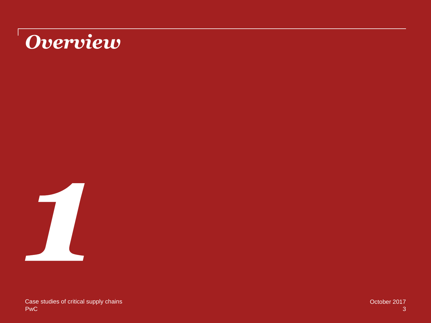# *Overview*

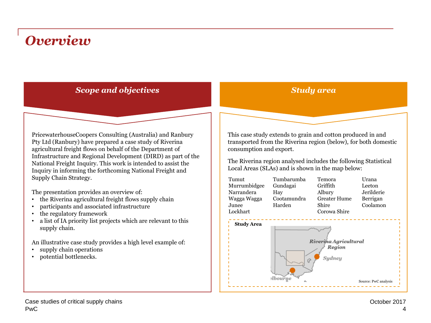### *Overview*

### *Scope and objectives*

PricewaterhouseCoopers Consulting (Australia) and Ranbury Pty Ltd (Ranbury) have prepared a case study of Riverina agricultural freight flows on behalf of the Department of Infrastructure and Regional Development (DIRD) as part of the National Freight Inquiry. This work is intended to assist the Inquiry in informing the forthcoming National Freight and Supply Chain Strategy.

The presentation provides an overview of:

- the Riverina agricultural freight flows supply chain
- participants and associated infrastructure
- the regulatory framework
- a list of IA priority list projects which are relevant to this supply chain.

An illustrative case study provides a high level example of:

- supply chain operations
- potential bottlenecks.

This case study extends to grain and cotton produced in and transported from the Riverina region (below), for both domestic consumption and export.

*Study area*

The Riverina region analysed includes the following Statistical Local Areas (SLAs) and is shown in the map below:

| Tumut<br>Murrumbidgee<br>Narrandera<br>Wagga Wagga<br>Junee<br>Lockhart | Tumbarumba<br>Gundagai<br>Hay<br>Cootamundra<br>Harden | Temora<br>Griffith<br>Albury<br><b>Greater Hume</b><br>Shire<br>Corowa Shire | Urana<br>Leeton<br>Jerilderie<br>Berrigan<br>Coolamon |
|-------------------------------------------------------------------------|--------------------------------------------------------|------------------------------------------------------------------------------|-------------------------------------------------------|
| <b>Study Area</b>                                                       |                                                        |                                                                              |                                                       |



#### PwC Case studies of critical supply chains October 2017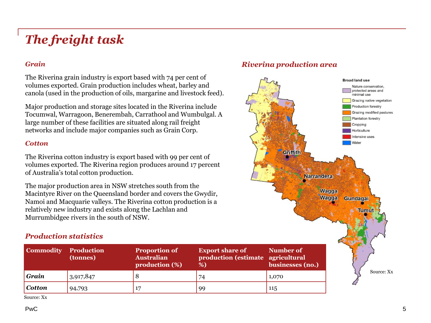### *The freight task*

### *Grain*

The Riverina grain industry is export based with 74 per cent of volumes exported. Grain production includes wheat, barley and canola (used in the production of oils, margarine and livestock feed).

Major production and storage sites located in the Riverina include Tocumwal, Warragoon, Benerembah, Carrathool and Wumbulgal. A large number of these facilities are situated along rail freight networks and include major companies such as Grain Corp.

#### *Cotton*

The Riverina cotton industry is export based with 99 per cent of volumes exported. The Riverina region produces around 17 percent of Australia's total cotton production.

The major production area in NSW stretches south from the Macintyre River on the Queensland border and covers the Gwydir, Namoi and Macquarie valleys. The Riverina cotton production is a relatively new industry and exists along the Lachlan and Murrumbidgee rivers in the south of NSW.

### *Production statistics*

| <b>Commodity</b> | <b>Production</b><br>(tonnes) | <b>Proportion of</b><br><b>Australian</b><br>production (%) | <b>Export share of</b><br>production (estimate agricultural<br>%) | Number of<br>businesses (no.) |
|------------------|-------------------------------|-------------------------------------------------------------|-------------------------------------------------------------------|-------------------------------|
| Grain            | 3,917,847                     |                                                             | 74                                                                | 1,070                         |
| Cotton           | 94,793                        |                                                             | 99                                                                | 115                           |

Source: Xx

#### PwC

### *Riverina production area*

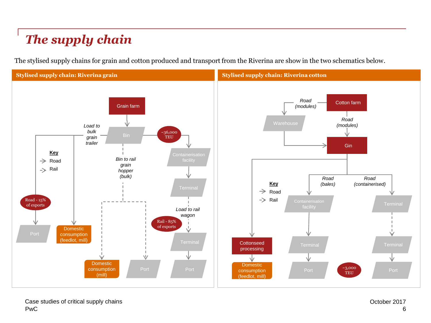### *The supply chain*

The stylised supply chains for grain and cotton produced and transport from the Riverina are show in the two schematics below.

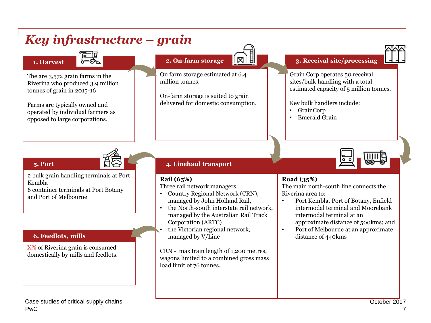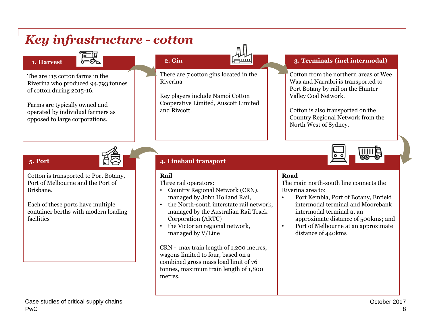#### *Key infrastructure - cotton* **2. Gin 3. Terminals (incl intermodal)** : : : : : **1. Harvest** There are 7 cotton gins located in the Cotton from the northern areas of Wee The are 115 cotton farms in the Riverina Waa and Narrabri is transported to Riverina who produced 94,793 tonnes Port Botany by rail on the Hunter of cotton during 2015-16. Key players include Namoi Cotton Valley Coal Network. Cooperative Limited, Auscott Limited Farms are typically owned and and Rivcott. Cotton is also transported on the operated by individual farmers as Country Regional Network from the opposed to large corporations. North West of Sydney. **5. Port 4. Linehaul transport** Cotton is transported to Port Botany, **Road Rail** The main north-south line connects the Port of Melbourne and the Port of Three rail operators: Brisbane. • Country Regional Network (CRN), Riverina area to: managed by John Holland Rail, • Port Kembla, Port of Botany, Enfield Each of these ports have multiple • the North-south interstate rail network, intermodal terminal and Moorebank container berths with modern loading managed by the Australian Rail Track intermodal terminal at an facilities Corporation (ARTC) approximate distance of 500kms; and • the Victorian regional network, • Port of Melbourne at an approximate managed by V/Line distance of 440kms CRN - max train length of 1,200 metres, wagons limited to four, based on a combined gross mass load limit of 76 tonnes, maximum train length of 1,800 metres. Case studies of critical supply chains **Case Studies of critical supply chains** October 2017 PwC 8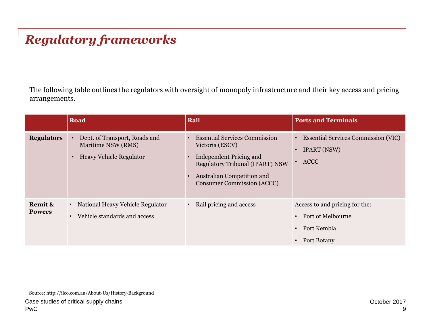### *Regulatory frameworks*

The following table outlines the regulators with oversight of monopoly infrastructure and their key access and pricing arrangements.

|                          | Road                                                                                               | Rail                                                                                                                                                                                                   | <b>Ports and Terminals</b>                                                                                                      |
|--------------------------|----------------------------------------------------------------------------------------------------|--------------------------------------------------------------------------------------------------------------------------------------------------------------------------------------------------------|---------------------------------------------------------------------------------------------------------------------------------|
| <b>Regulators</b>        | Dept. of Transport, Roads and<br>Maritime NSW (RMS)<br><b>Heavy Vehicle Regulator</b><br>$\bullet$ | <b>Essential Services Commission</b><br>Victoria (ESCV)<br>Independent Pricing and<br><b>Regulatory Tribunal (IPART) NSW</b><br><b>Australian Competition and</b><br><b>Consumer Commission (ACCC)</b> | <b>Essential Services Commission (VIC)</b><br><b>IPART (NSW)</b><br>$\bullet$<br><b>ACCC</b>                                    |
| Remit &<br><b>Powers</b> | National Heavy Vehicle Regulator<br>$\bullet$<br>Vehicle standards and access                      | Rail pricing and access                                                                                                                                                                                | Access to and pricing for the:<br>Port of Melbourne<br>$\bullet$<br>Port Kembla<br>$\bullet$<br><b>Port Botany</b><br>$\bullet$ |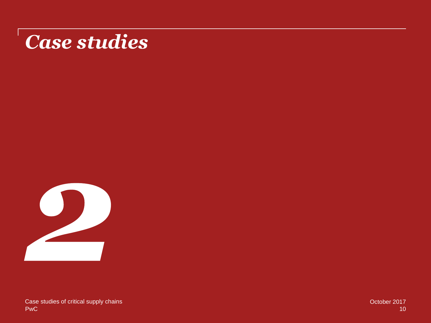# *Case studies*

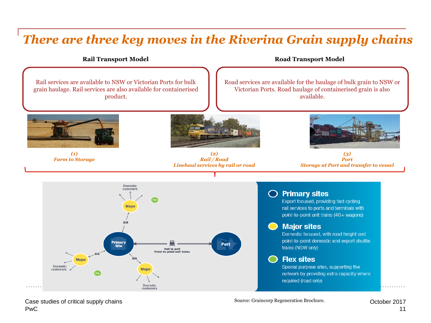### *There are three key moves in the Riverina Grain supply chains*

**Rail Transport Model**

**Road Transport Model**



PwC Case studies of critical supply chains **Case Source: Graincorp Regeneration Brochure.** Case Supply Chains Controller 2017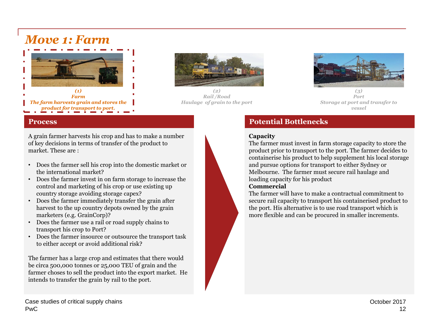### *Move 1: Farm*





*(2) Rail /Road Haulage of grain to the port*



*(3) Port Storage at port and transfer to vessel*

#### **Process**

A grain farmer harvests his crop and has to make a number of key decisions in terms of transfer of the product to market. These are :

- Does the farmer sell his crop into the domestic market or the international market?
- Does the farmer invest in on farm storage to increase the control and marketing of his crop or use existing up country storage avoiding storage capex?
- Does the farmer immediately transfer the grain after harvest to the up country depots owned by the grain marketers (e.g. GrainCorp)?
- Does the farmer use a rail or road supply chains to transport his crop to Port?
- Does the farmer insource or outsource the transport task to either accept or avoid additional risk?

The farmer has a large crop and estimates that there would be circa 500,000 tonnes or 25,000 TEU of grain and the farmer choses to sell the product into the export market. He intends to transfer the grain by rail to the port.

### **Potential Bottlenecks**

#### **Capacity**

The farmer must invest in farm storage capacity to store the product prior to transport to the port. The farmer decides to containerise his product to help supplement his local storage and pursue options for transport to either Sydney or Melbourne. The farmer must secure rail haulage and loading capacity for his product

### **Commercial**

The farmer will have to make a contractual commitment to secure rail capacity to transport his containerised product to the port. His alternative is to use road transport which is more flexible and can be procured in smaller increments.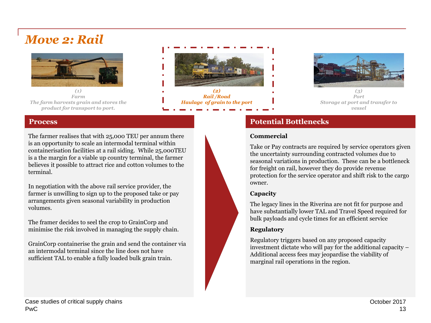### *Move 2: Rail*



*(1) Farm The farm harvests grain and stores the product for transport to port.*



*Rail /Road Haulage of grain to the port*



*(3) Port Storage at port and transfer to vessel*

### **Process**

The farmer realises that with 25,000 TEU per annum there is an opportunity to scale an intermodal terminal within containerisation facilities at a rail siding. While 25,000TEU is a the margin for a viable up country terminal, the farmer believes it possible to attract rice and cotton volumes to the terminal.

In negotiation with the above rail service provider, the farmer is unwilling to sign up to the proposed take or pay arrangements given seasonal variability in production volumes.

The framer decides to seel the crop to GrainCorp and minimise the risk involved in managing the supply chain.

GrainCorp containerise the grain and send the container via an intermodal terminal since the line does not have sufficient TAL to enable a fully loaded bulk grain train.

### **Potential Bottlenecks**

#### **Commercial**

Take or Pay contracts are required by service operators given the uncertainty surrounding contracted volumes due to seasonal variations in production. These can be a bottleneck for freight on rail, however they do provide revenue protection for the service operator and shift risk to the cargo owner.

### **Capacity**

The legacy lines in the Riverina are not fit for purpose and have substantially lower TAL and Travel Speed required for bulk payloads and cycle times for an efficient service

### **Regulatory**

Regulatory triggers based on any proposed capacity investment dictate who will pay for the additional capacity – Additional access fees may jeopardise the viability of marginal rail operations in the region.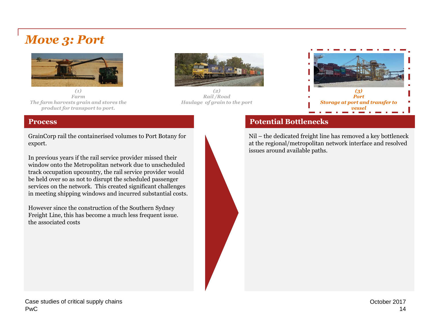### *Move 3: Port*



*(1) Farm The farm harvests grain and stores the product for transport to port.*



*(2) Rail /Road Haulage of grain to the port*



### **Potential Bottlenecks**

Nil – the dedicated freight line has removed a key bottleneck at the regional/metropolitan network interface and resolved issues around available paths.

#### **Process**

GrainCorp rail the containerised volumes to Port Botany for export.

In previous years if the rail service provider missed their window onto the Metropolitan network due to unscheduled track occupation upcountry, the rail service provider would be held over so as not to disrupt the scheduled passenger services on the network. This created significant challenges in meeting shipping windows and incurred substantial costs.

However since the construction of the Southern Sydney Freight Line, this has become a much less frequent issue. the associated costs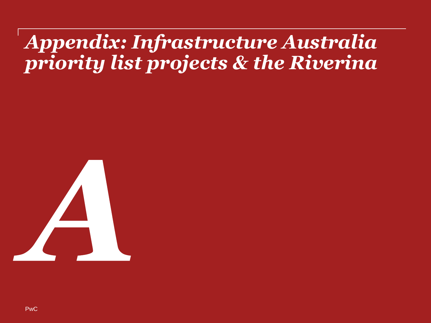## *Appendix: Infrastructure Australia priority list projects & the Riverina*



PwC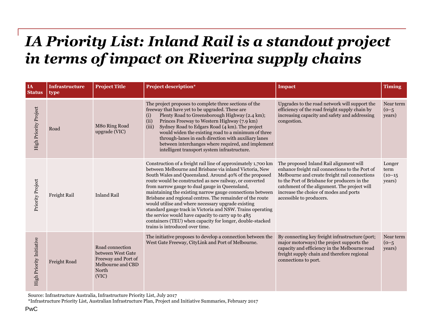## *IA Priority List: Inland Rail is a standout project in terms of impact on Riverina supply chains*

| IA<br><b>Status</b>          | <b>Infrastructure</b><br>type | <b>Project Title</b>                                                                               | <b>Project description*</b>                                                                                                                                                                                                                                                                                                                                                                                                                                                                                                                                                                                                                                                                         | <b>Impact</b>                                                                                                                                                                                                                                                                                                     | <b>Timing</b>                         |
|------------------------------|-------------------------------|----------------------------------------------------------------------------------------------------|-----------------------------------------------------------------------------------------------------------------------------------------------------------------------------------------------------------------------------------------------------------------------------------------------------------------------------------------------------------------------------------------------------------------------------------------------------------------------------------------------------------------------------------------------------------------------------------------------------------------------------------------------------------------------------------------------------|-------------------------------------------------------------------------------------------------------------------------------------------------------------------------------------------------------------------------------------------------------------------------------------------------------------------|---------------------------------------|
| <b>High Priority Project</b> | Road                          | M80 Ring Road<br>upgrade (VIC)                                                                     | The project proposes to complete three sections of the<br>freeway that have yet to be upgraded. These are<br>Plenty Road to Greensborough Highway (2.4 km);<br>(i)<br>Princes Freeway to Western Highway (7.9 km)<br>(ii)<br>(iii)<br>Sydney Road to Edgars Road (4 km). The project<br>would widen the existing road to a minimum of three<br>through-lanes in each direction with auxiliary lanes<br>between interchanges where required, and implement<br>intelligent transport system infrastructure.                                                                                                                                                                                           | Upgrades to the road network will support the<br>efficiency of the road freight supply chain by<br>increasing capacity and safety and addressing<br>congestion.                                                                                                                                                   | Near term<br>$(0 - 5)$<br>years)      |
| Priority Project             | Freight Rail                  | <b>Inland Rail</b>                                                                                 | Construction of a freight rail line of approximately 1,700 km<br>between Melbourne and Brisbane via inland Victoria, New<br>South Wales and Queensland. Around 40% of the proposed<br>route would be constructed as new railway, or converted<br>from narrow gauge to dual gauge in Queensland,<br>maintaining the existing narrow gauge connections between<br>Brisbane and regional centres. The remainder of the route<br>would utilise and where necessary upgrade existing<br>standard gauge track in Victoria and NSW. Trains operating<br>the service would have capacity to carry up to 485<br>containers (TEU) when capacity for longer, double-stacked<br>trains is introduced over time. | The proposed Inland Rail alignment will<br>enhance freight rail connections to the Port of<br>Melbourne and create freight rail connections<br>to the Port of Brisbane for producers in the<br>catchment of the alignment. The project will<br>increase the choice of modes and ports<br>accessible to producers. | Longer<br>term<br>$(10-15)$<br>years) |
| High Priority Initiative     | Freight Road                  | Road connection<br>between West Gate<br>Freeway and Port of<br>Melbourne and CBD<br>North<br>(VIC) | The initiative proposes to develop a connection between the<br>West Gate Freeway, CityLink and Port of Melbourne.                                                                                                                                                                                                                                                                                                                                                                                                                                                                                                                                                                                   | By connecting key freight infrastructure (port;<br>major motorways) the project supports the<br>capacity and efficiency in the Melbourne road<br>freight supply chain and therefore regional<br>connections to port.                                                                                              | Near term<br>$(0 - 5)$<br>years)      |

Source: Infrastructure Australia, Infrastructure Priority List, July 2017

\*Infrastructure Priority List, Australian Infrastructure Plan, Project and Initiative Summaries, February 2017